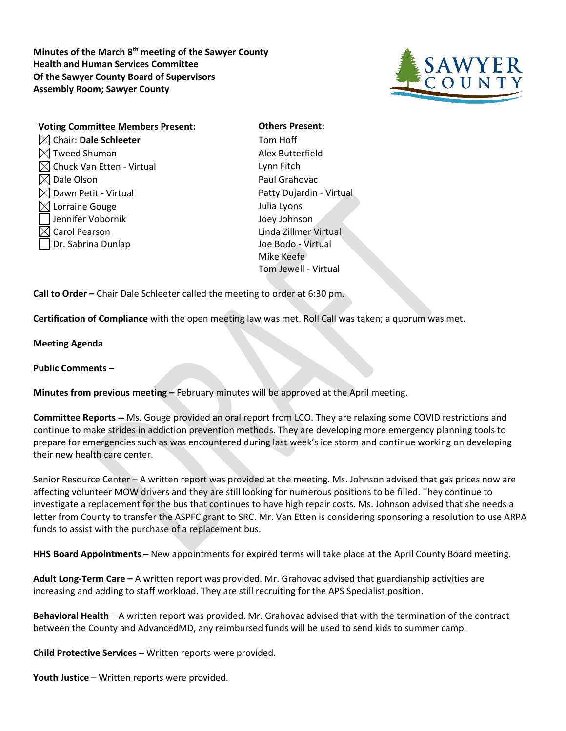**Minutes of the March 8th meeting of the Sawyer County Health and Human Services Committee Of the Sawyer County Board of Supervisors Assembly Room; Sawyer County**



| <b>Voting Committee Members Present:</b> |
|------------------------------------------|
| Chair: Dale Schleeter                    |
| $\langle$ Tweed Shuman                   |
| chuck Van Etten - Virtual                |
| Dale Olson                               |
| $\triangleleft$ Dawn Petit - Virtual     |
| $\triangleleft$ Lorraine Gouge           |
| Jennifer Vobornik                        |
| Carol Pearson                            |
| Dr. Sabrina Dunlap                       |
|                                          |

**Others Present:** Tom Hoff Alex Butterfield Lynn Fitch Paul Grahovac Patty Dujardin - Virtual Julia Lyons Joey Johnson Linda Zillmer Virtual Joe Bodo - Virtual Mike Keefe Tom Jewell - Virtual

**Call to Order –** Chair Dale Schleeter called the meeting to order at 6:30 pm.

**Certification of Compliance** with the open meeting law was met. Roll Call was taken; a quorum was met.

**Meeting Agenda** 

**Public Comments –**

**Minutes from previous meeting –** February minutes will be approved at the April meeting.

**Committee Reports --** Ms. Gouge provided an oral report from LCO. They are relaxing some COVID restrictions and continue to make strides in addiction prevention methods. They are developing more emergency planning tools to prepare for emergencies such as was encountered during last week's ice storm and continue working on developing their new health care center.

Senior Resource Center – A written report was provided at the meeting. Ms. Johnson advised that gas prices now are affecting volunteer MOW drivers and they are still looking for numerous positions to be filled. They continue to investigate a replacement for the bus that continues to have high repair costs. Ms. Johnson advised that she needs a letter from County to transfer the ASPFC grant to SRC. Mr. Van Etten is considering sponsoring a resolution to use ARPA funds to assist with the purchase of a replacement bus.

**HHS Board Appointments** – New appointments for expired terms will take place at the April County Board meeting.

**Adult Long-Term Care –** A written report was provided. Mr. Grahovac advised that guardianship activities are increasing and adding to staff workload. They are still recruiting for the APS Specialist position.

**Behavioral Health** – A written report was provided. Mr. Grahovac advised that with the termination of the contract between the County and AdvancedMD, any reimbursed funds will be used to send kids to summer camp.

**Child Protective Services** – Written reports were provided.

**Youth Justice** – Written reports were provided.